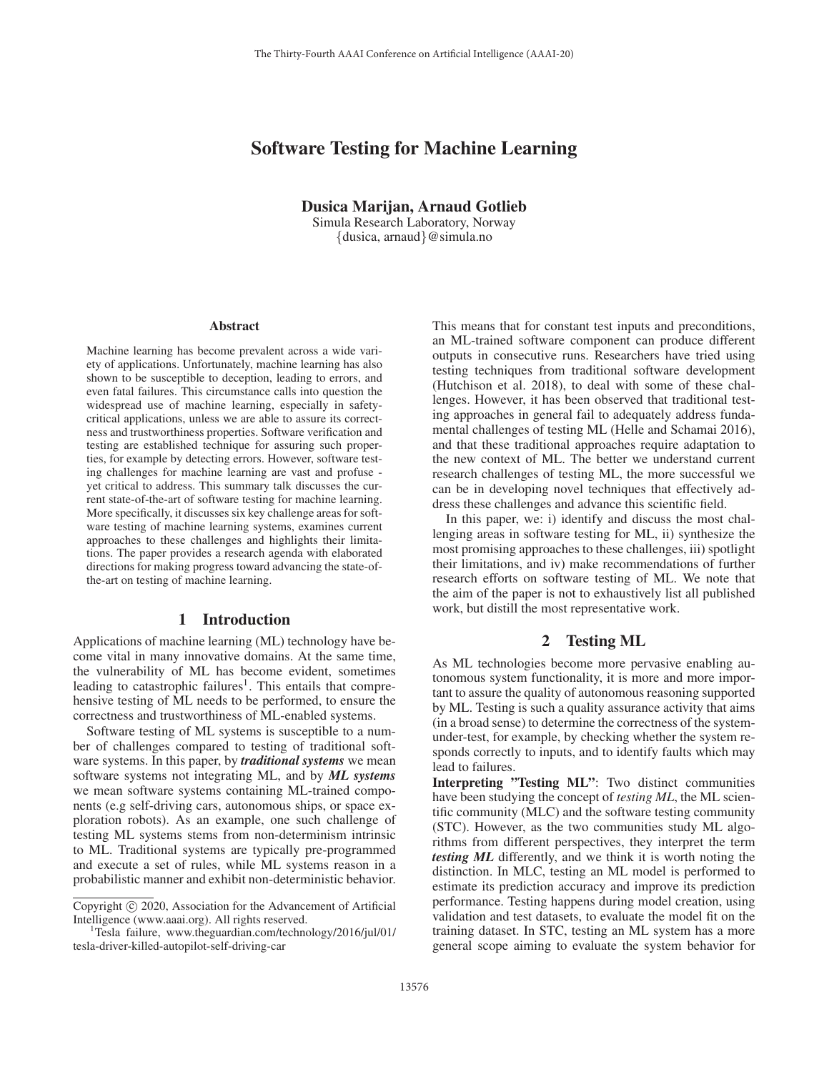# Software Testing for Machine Learning

Dusica Marijan, Arnaud Gotlieb

Simula Research Laboratory, Norway {dusica, arnaud}@simula.no

#### Abstract

Machine learning has become prevalent across a wide variety of applications. Unfortunately, machine learning has also shown to be susceptible to deception, leading to errors, and even fatal failures. This circumstance calls into question the widespread use of machine learning, especially in safetycritical applications, unless we are able to assure its correctness and trustworthiness properties. Software verification and testing are established technique for assuring such properties, for example by detecting errors. However, software testing challenges for machine learning are vast and profuse yet critical to address. This summary talk discusses the current state-of-the-art of software testing for machine learning. More specifically, it discusses six key challenge areas for software testing of machine learning systems, examines current approaches to these challenges and highlights their limitations. The paper provides a research agenda with elaborated directions for making progress toward advancing the state-ofthe-art on testing of machine learning.

#### 1 Introduction

Applications of machine learning (ML) technology have become vital in many innovative domains. At the same time, the vulnerability of ML has become evident, sometimes leading to catastrophic failures<sup>1</sup>. This entails that comprehensive testing of ML needs to be performed, to ensure the correctness and trustworthiness of ML-enabled systems.

Software testing of ML systems is susceptible to a number of challenges compared to testing of traditional software systems. In this paper, by *traditional systems* we mean software systems not integrating ML, and by *ML systems* we mean software systems containing ML-trained components (e.g self-driving cars, autonomous ships, or space exploration robots). As an example, one such challenge of testing ML systems stems from non-determinism intrinsic to ML. Traditional systems are typically pre-programmed and execute a set of rules, while ML systems reason in a probabilistic manner and exhibit non-deterministic behavior.

This means that for constant test inputs and preconditions, an ML-trained software component can produce different outputs in consecutive runs. Researchers have tried using testing techniques from traditional software development (Hutchison et al. 2018), to deal with some of these challenges. However, it has been observed that traditional testing approaches in general fail to adequately address fundamental challenges of testing ML (Helle and Schamai 2016), and that these traditional approaches require adaptation to the new context of ML. The better we understand current research challenges of testing ML, the more successful we can be in developing novel techniques that effectively address these challenges and advance this scientific field.

In this paper, we: i) identify and discuss the most challenging areas in software testing for ML, ii) synthesize the most promising approaches to these challenges, iii) spotlight their limitations, and iv) make recommendations of further research efforts on software testing of ML. We note that the aim of the paper is not to exhaustively list all published work, but distill the most representative work.

### 2 Testing ML

As ML technologies become more pervasive enabling autonomous system functionality, it is more and more important to assure the quality of autonomous reasoning supported by ML. Testing is such a quality assurance activity that aims (in a broad sense) to determine the correctness of the systemunder-test, for example, by checking whether the system responds correctly to inputs, and to identify faults which may lead to failures.

Interpreting "Testing ML": Two distinct communities have been studying the concept of *testing ML*, the ML scientific community (MLC) and the software testing community (STC). However, as the two communities study ML algorithms from different perspectives, they interpret the term *testing ML* differently, and we think it is worth noting the distinction. In MLC, testing an ML model is performed to estimate its prediction accuracy and improve its prediction performance. Testing happens during model creation, using validation and test datasets, to evaluate the model fit on the training dataset. In STC, testing an ML system has a more general scope aiming to evaluate the system behavior for

Copyright  $\odot$  2020, Association for the Advancement of Artificial Intelligence (www.aaai.org). All rights reserved. <sup>1</sup>

Tesla failure, www.theguardian.com/technology/2016/jul/01/ tesla-driver-killed-autopilot-self-driving-car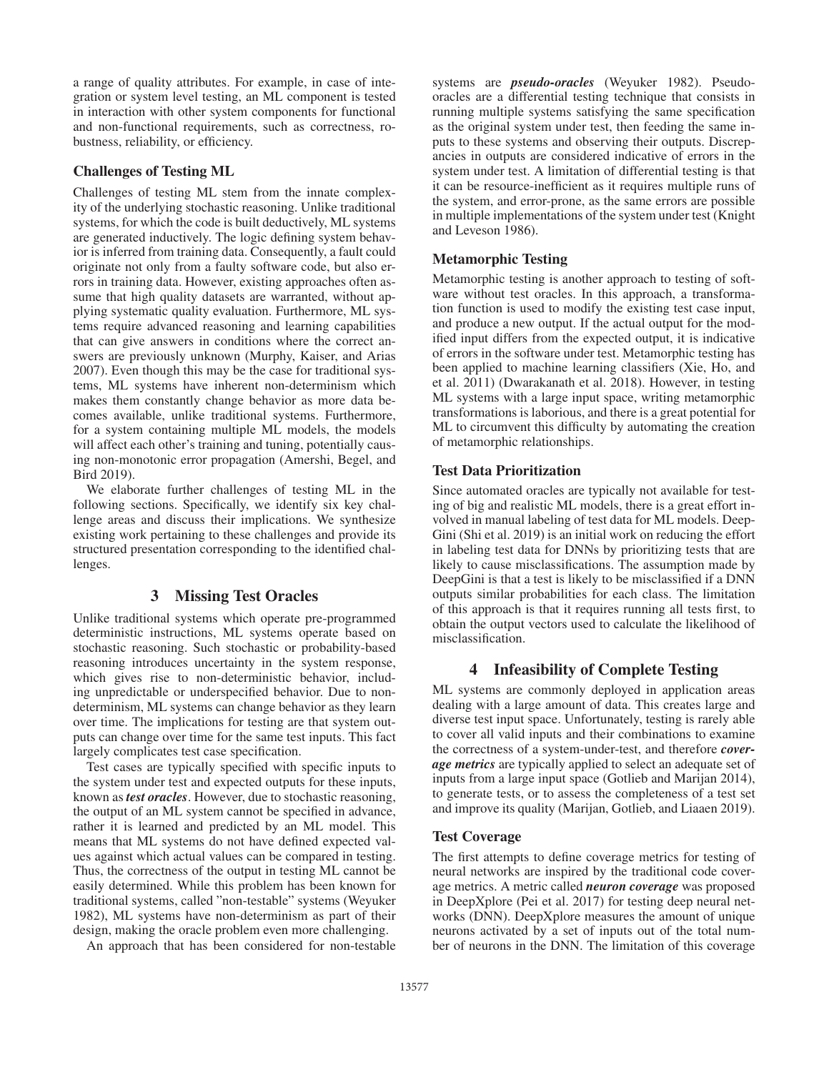a range of quality attributes. For example, in case of integration or system level testing, an ML component is tested in interaction with other system components for functional and non-functional requirements, such as correctness, robustness, reliability, or efficiency.

# Challenges of Testing ML

Challenges of testing ML stem from the innate complexity of the underlying stochastic reasoning. Unlike traditional systems, for which the code is built deductively, ML systems are generated inductively. The logic defining system behavior is inferred from training data. Consequently, a fault could originate not only from a faulty software code, but also errors in training data. However, existing approaches often assume that high quality datasets are warranted, without applying systematic quality evaluation. Furthermore, ML systems require advanced reasoning and learning capabilities that can give answers in conditions where the correct answers are previously unknown (Murphy, Kaiser, and Arias 2007). Even though this may be the case for traditional systems, ML systems have inherent non-determinism which makes them constantly change behavior as more data becomes available, unlike traditional systems. Furthermore, for a system containing multiple ML models, the models will affect each other's training and tuning, potentially causing non-monotonic error propagation (Amershi, Begel, and Bird 2019).

We elaborate further challenges of testing ML in the following sections. Specifically, we identify six key challenge areas and discuss their implications. We synthesize existing work pertaining to these challenges and provide its structured presentation corresponding to the identified challenges.

### 3 Missing Test Oracles

Unlike traditional systems which operate pre-programmed deterministic instructions, ML systems operate based on stochastic reasoning. Such stochastic or probability-based reasoning introduces uncertainty in the system response, which gives rise to non-deterministic behavior, including unpredictable or underspecified behavior. Due to nondeterminism, ML systems can change behavior as they learn over time. The implications for testing are that system outputs can change over time for the same test inputs. This fact largely complicates test case specification.

Test cases are typically specified with specific inputs to the system under test and expected outputs for these inputs, known as *test oracles*. However, due to stochastic reasoning, the output of an ML system cannot be specified in advance, rather it is learned and predicted by an ML model. This means that ML systems do not have defined expected values against which actual values can be compared in testing. Thus, the correctness of the output in testing ML cannot be easily determined. While this problem has been known for traditional systems, called "non-testable" systems (Weyuker 1982), ML systems have non-determinism as part of their design, making the oracle problem even more challenging.

An approach that has been considered for non-testable

systems are *pseudo-oracles* (Weyuker 1982). Pseudooracles are a differential testing technique that consists in running multiple systems satisfying the same specification as the original system under test, then feeding the same inputs to these systems and observing their outputs. Discrepancies in outputs are considered indicative of errors in the system under test. A limitation of differential testing is that it can be resource-inefficient as it requires multiple runs of the system, and error-prone, as the same errors are possible in multiple implementations of the system under test (Knight and Leveson 1986).

#### Metamorphic Testing

Metamorphic testing is another approach to testing of software without test oracles. In this approach, a transformation function is used to modify the existing test case input, and produce a new output. If the actual output for the modified input differs from the expected output, it is indicative of errors in the software under test. Metamorphic testing has been applied to machine learning classifiers (Xie, Ho, and et al. 2011) (Dwarakanath et al. 2018). However, in testing ML systems with a large input space, writing metamorphic transformations is laborious, and there is a great potential for ML to circumvent this difficulty by automating the creation of metamorphic relationships.

#### Test Data Prioritization

Since automated oracles are typically not available for testing of big and realistic ML models, there is a great effort involved in manual labeling of test data for ML models. Deep-Gini (Shi et al. 2019) is an initial work on reducing the effort in labeling test data for DNNs by prioritizing tests that are likely to cause misclassifications. The assumption made by DeepGini is that a test is likely to be misclassified if a DNN outputs similar probabilities for each class. The limitation of this approach is that it requires running all tests first, to obtain the output vectors used to calculate the likelihood of misclassification.

# 4 Infeasibility of Complete Testing

ML systems are commonly deployed in application areas dealing with a large amount of data. This creates large and diverse test input space. Unfortunately, testing is rarely able to cover all valid inputs and their combinations to examine the correctness of a system-under-test, and therefore *coverage metrics* are typically applied to select an adequate set of inputs from a large input space (Gotlieb and Marijan 2014), to generate tests, or to assess the completeness of a test set and improve its quality (Marijan, Gotlieb, and Liaaen 2019).

#### Test Coverage

The first attempts to define coverage metrics for testing of neural networks are inspired by the traditional code coverage metrics. A metric called *neuron coverage* was proposed in DeepXplore (Pei et al. 2017) for testing deep neural networks (DNN). DeepXplore measures the amount of unique neurons activated by a set of inputs out of the total number of neurons in the DNN. The limitation of this coverage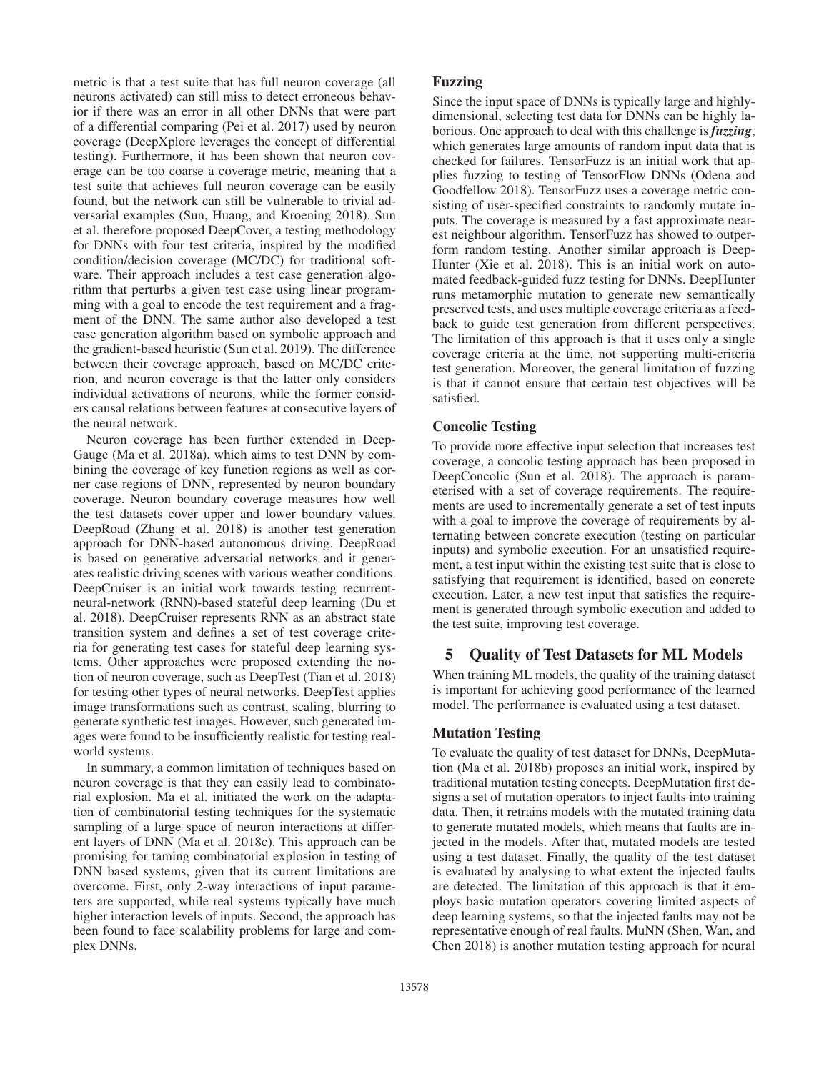metric is that a test suite that has full neuron coverage (all neurons activated) can still miss to detect erroneous behavior if there was an error in all other DNNs that were part of a differential comparing (Pei et al. 2017) used by neuron coverage (DeepXplore leverages the concept of differential testing). Furthermore, it has been shown that neuron coverage can be too coarse a coverage metric, meaning that a test suite that achieves full neuron coverage can be easily found, but the network can still be vulnerable to trivial adversarial examples (Sun, Huang, and Kroening 2018). Sun et al. therefore proposed DeepCover, a testing methodology for DNNs with four test criteria, inspired by the modified condition/decision coverage (MC/DC) for traditional software. Their approach includes a test case generation algorithm that perturbs a given test case using linear programming with a goal to encode the test requirement and a fragment of the DNN. The same author also developed a test case generation algorithm based on symbolic approach and the gradient-based heuristic (Sun et al. 2019). The difference between their coverage approach, based on MC/DC criterion, and neuron coverage is that the latter only considers individual activations of neurons, while the former considers causal relations between features at consecutive layers of the neural network.

Neuron coverage has been further extended in Deep-Gauge (Ma et al. 2018a), which aims to test DNN by combining the coverage of key function regions as well as corner case regions of DNN, represented by neuron boundary coverage. Neuron boundary coverage measures how well the test datasets cover upper and lower boundary values. DeepRoad (Zhang et al. 2018) is another test generation approach for DNN-based autonomous driving. DeepRoad is based on generative adversarial networks and it generates realistic driving scenes with various weather conditions. DeepCruiser is an initial work towards testing recurrentneural-network (RNN)-based stateful deep learning (Du et al. 2018). DeepCruiser represents RNN as an abstract state transition system and defines a set of test coverage criteria for generating test cases for stateful deep learning systems. Other approaches were proposed extending the notion of neuron coverage, such as DeepTest (Tian et al. 2018) for testing other types of neural networks. DeepTest applies image transformations such as contrast, scaling, blurring to generate synthetic test images. However, such generated images were found to be insufficiently realistic for testing realworld systems.

In summary, a common limitation of techniques based on neuron coverage is that they can easily lead to combinatorial explosion. Ma et al. initiated the work on the adaptation of combinatorial testing techniques for the systematic sampling of a large space of neuron interactions at different layers of DNN (Ma et al. 2018c). This approach can be promising for taming combinatorial explosion in testing of DNN based systems, given that its current limitations are overcome. First, only 2-way interactions of input parameters are supported, while real systems typically have much higher interaction levels of inputs. Second, the approach has been found to face scalability problems for large and complex DNNs.

#### Fuzzing

Since the input space of DNNs is typically large and highlydimensional, selecting test data for DNNs can be highly laborious. One approach to deal with this challenge is *fuzzing*, which generates large amounts of random input data that is checked for failures. TensorFuzz is an initial work that applies fuzzing to testing of TensorFlow DNNs (Odena and Goodfellow 2018). TensorFuzz uses a coverage metric consisting of user-specified constraints to randomly mutate inputs. The coverage is measured by a fast approximate nearest neighbour algorithm. TensorFuzz has showed to outperform random testing. Another similar approach is Deep-Hunter (Xie et al. 2018). This is an initial work on automated feedback-guided fuzz testing for DNNs. DeepHunter runs metamorphic mutation to generate new semantically preserved tests, and uses multiple coverage criteria as a feedback to guide test generation from different perspectives. The limitation of this approach is that it uses only a single coverage criteria at the time, not supporting multi-criteria test generation. Moreover, the general limitation of fuzzing is that it cannot ensure that certain test objectives will be satisfied.

### Concolic Testing

To provide more effective input selection that increases test coverage, a concolic testing approach has been proposed in DeepConcolic (Sun et al. 2018). The approach is parameterised with a set of coverage requirements. The requirements are used to incrementally generate a set of test inputs with a goal to improve the coverage of requirements by alternating between concrete execution (testing on particular inputs) and symbolic execution. For an unsatisfied requirement, a test input within the existing test suite that is close to satisfying that requirement is identified, based on concrete execution. Later, a new test input that satisfies the requirement is generated through symbolic execution and added to the test suite, improving test coverage.

# 5 Quality of Test Datasets for ML Models

When training ML models, the quality of the training dataset is important for achieving good performance of the learned model. The performance is evaluated using a test dataset.

### Mutation Testing

To evaluate the quality of test dataset for DNNs, DeepMutation (Ma et al. 2018b) proposes an initial work, inspired by traditional mutation testing concepts. DeepMutation first designs a set of mutation operators to inject faults into training data. Then, it retrains models with the mutated training data to generate mutated models, which means that faults are injected in the models. After that, mutated models are tested using a test dataset. Finally, the quality of the test dataset is evaluated by analysing to what extent the injected faults are detected. The limitation of this approach is that it employs basic mutation operators covering limited aspects of deep learning systems, so that the injected faults may not be representative enough of real faults. MuNN (Shen, Wan, and Chen 2018) is another mutation testing approach for neural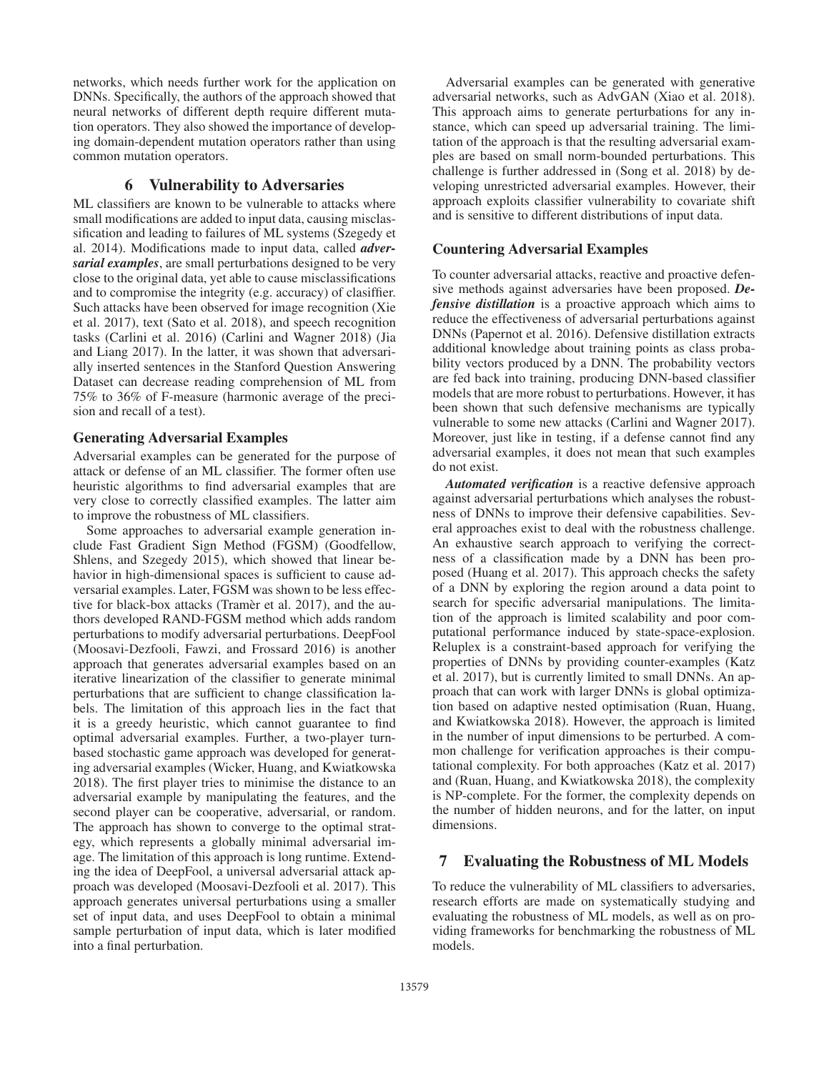networks, which needs further work for the application on DNNs. Specifically, the authors of the approach showed that neural networks of different depth require different mutation operators. They also showed the importance of developing domain-dependent mutation operators rather than using common mutation operators.

# 6 Vulnerability to Adversaries

ML classifiers are known to be vulnerable to attacks where small modifications are added to input data, causing misclassification and leading to failures of ML systems (Szegedy et al. 2014). Modifications made to input data, called *adversarial examples*, are small perturbations designed to be very close to the original data, yet able to cause misclassifications and to compromise the integrity (e.g. accuracy) of clasiffier. Such attacks have been observed for image recognition (Xie et al. 2017), text (Sato et al. 2018), and speech recognition tasks (Carlini et al. 2016) (Carlini and Wagner 2018) (Jia and Liang 2017). In the latter, it was shown that adversarially inserted sentences in the Stanford Question Answering Dataset can decrease reading comprehension of ML from 75% to 36% of F-measure (harmonic average of the precision and recall of a test).

#### Generating Adversarial Examples

Adversarial examples can be generated for the purpose of attack or defense of an ML classifier. The former often use heuristic algorithms to find adversarial examples that are very close to correctly classified examples. The latter aim to improve the robustness of ML classifiers.

Some approaches to adversarial example generation include Fast Gradient Sign Method (FGSM) (Goodfellow, Shlens, and Szegedy 2015), which showed that linear behavior in high-dimensional spaces is sufficient to cause adversarial examples. Later, FGSM was shown to be less effective for black-box attacks (Tramèr et al. 2017), and the authors developed RAND-FGSM method which adds random perturbations to modify adversarial perturbations. DeepFool (Moosavi-Dezfooli, Fawzi, and Frossard 2016) is another approach that generates adversarial examples based on an iterative linearization of the classifier to generate minimal perturbations that are sufficient to change classification labels. The limitation of this approach lies in the fact that it is a greedy heuristic, which cannot guarantee to find optimal adversarial examples. Further, a two-player turnbased stochastic game approach was developed for generating adversarial examples (Wicker, Huang, and Kwiatkowska 2018). The first player tries to minimise the distance to an adversarial example by manipulating the features, and the second player can be cooperative, adversarial, or random. The approach has shown to converge to the optimal strategy, which represents a globally minimal adversarial image. The limitation of this approach is long runtime. Extending the idea of DeepFool, a universal adversarial attack approach was developed (Moosavi-Dezfooli et al. 2017). This approach generates universal perturbations using a smaller set of input data, and uses DeepFool to obtain a minimal sample perturbation of input data, which is later modified into a final perturbation.

Adversarial examples can be generated with generative adversarial networks, such as AdvGAN (Xiao et al. 2018). This approach aims to generate perturbations for any instance, which can speed up adversarial training. The limitation of the approach is that the resulting adversarial examples are based on small norm-bounded perturbations. This challenge is further addressed in (Song et al. 2018) by developing unrestricted adversarial examples. However, their approach exploits classifier vulnerability to covariate shift and is sensitive to different distributions of input data.

#### Countering Adversarial Examples

To counter adversarial attacks, reactive and proactive defensive methods against adversaries have been proposed. *Defensive distillation* is a proactive approach which aims to reduce the effectiveness of adversarial perturbations against DNNs (Papernot et al. 2016). Defensive distillation extracts additional knowledge about training points as class probability vectors produced by a DNN. The probability vectors are fed back into training, producing DNN-based classifier models that are more robust to perturbations. However, it has been shown that such defensive mechanisms are typically vulnerable to some new attacks (Carlini and Wagner 2017). Moreover, just like in testing, if a defense cannot find any adversarial examples, it does not mean that such examples do not exist.

*Automated verification* is a reactive defensive approach against adversarial perturbations which analyses the robustness of DNNs to improve their defensive capabilities. Several approaches exist to deal with the robustness challenge. An exhaustive search approach to verifying the correctness of a classification made by a DNN has been proposed (Huang et al. 2017). This approach checks the safety of a DNN by exploring the region around a data point to search for specific adversarial manipulations. The limitation of the approach is limited scalability and poor computational performance induced by state-space-explosion. Reluplex is a constraint-based approach for verifying the properties of DNNs by providing counter-examples (Katz et al. 2017), but is currently limited to small DNNs. An approach that can work with larger DNNs is global optimization based on adaptive nested optimisation (Ruan, Huang, and Kwiatkowska 2018). However, the approach is limited in the number of input dimensions to be perturbed. A common challenge for verification approaches is their computational complexity. For both approaches (Katz et al. 2017) and (Ruan, Huang, and Kwiatkowska 2018), the complexity is NP-complete. For the former, the complexity depends on the number of hidden neurons, and for the latter, on input dimensions.

### 7 Evaluating the Robustness of ML Models

To reduce the vulnerability of ML classifiers to adversaries, research efforts are made on systematically studying and evaluating the robustness of ML models, as well as on providing frameworks for benchmarking the robustness of ML models.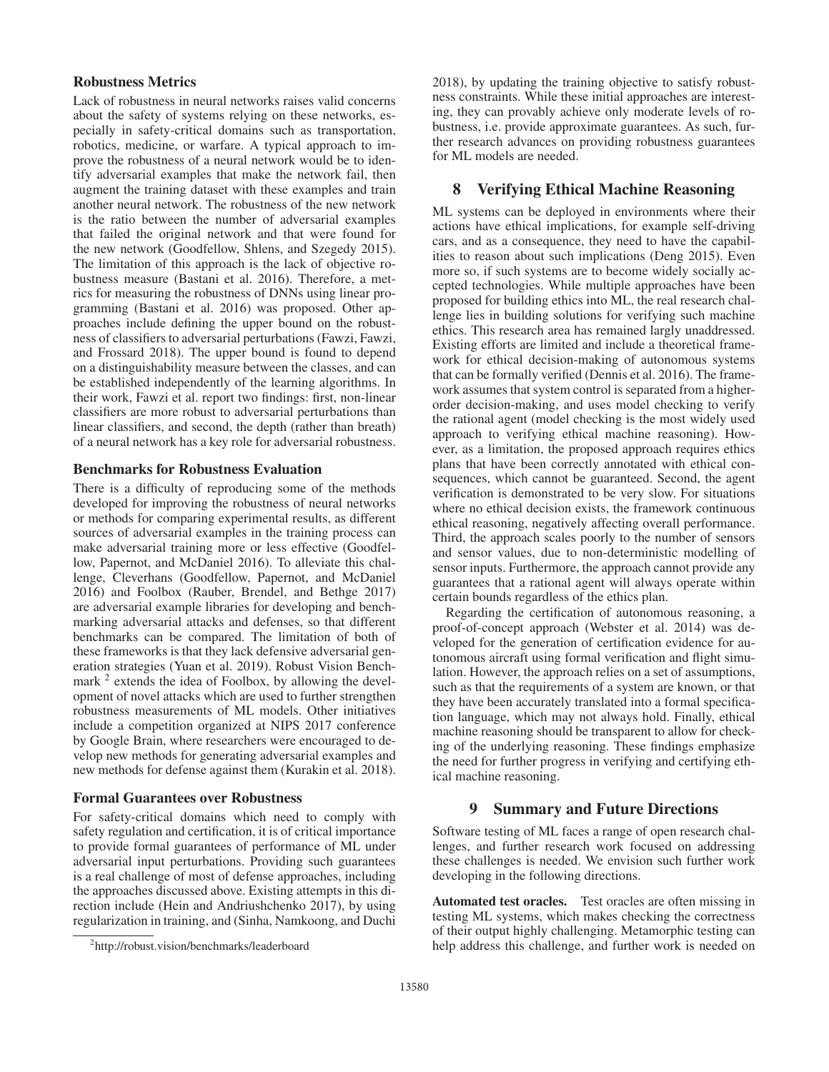# Robustness Metrics

Lack of robustness in neural networks raises valid concerns about the safety of systems relying on these networks, especially in safety-critical domains such as transportation, robotics, medicine, or warfare. A typical approach to improve the robustness of a neural network would be to identify adversarial examples that make the network fail, then augment the training dataset with these examples and train another neural network. The robustness of the new network is the ratio between the number of adversarial examples that failed the original network and that were found for the new network (Goodfellow, Shlens, and Szegedy 2015). The limitation of this approach is the lack of objective robustness measure (Bastani et al. 2016). Therefore, a metrics for measuring the robustness of DNNs using linear programming (Bastani et al. 2016) was proposed. Other approaches include defining the upper bound on the robustness of classifiers to adversarial perturbations (Fawzi, Fawzi, and Frossard 2018). The upper bound is found to depend on a distinguishability measure between the classes, and can be established independently of the learning algorithms. In their work, Fawzi et al. report two findings: first, non-linear classifiers are more robust to adversarial perturbations than linear classifiers, and second, the depth (rather than breath) of a neural network has a key role for adversarial robustness.

### Benchmarks for Robustness Evaluation

There is a difficulty of reproducing some of the methods developed for improving the robustness of neural networks or methods for comparing experimental results, as different sources of adversarial examples in the training process can make adversarial training more or less effective (Goodfellow, Papernot, and McDaniel 2016). To alleviate this challenge, Cleverhans (Goodfellow, Papernot, and McDaniel 2016) and Foolbox (Rauber, Brendel, and Bethge 2017) are adversarial example libraries for developing and benchmarking adversarial attacks and defenses, so that different benchmarks can be compared. The limitation of both of these frameworks is that they lack defensive adversarial generation strategies (Yuan et al. 2019). Robust Vision Benchmark  $2$  extends the idea of Foolbox, by allowing the development of novel attacks which are used to further strengthen robustness measurements of ML models. Other initiatives include a competition organized at NIPS 2017 conference by Google Brain, where researchers were encouraged to develop new methods for generating adversarial examples and new methods for defense against them (Kurakin et al. 2018).

#### Formal Guarantees over Robustness

For safety-critical domains which need to comply with safety regulation and certification, it is of critical importance to provide formal guarantees of performance of ML under adversarial input perturbations. Providing such guarantees is a real challenge of most of defense approaches, including the approaches discussed above. Existing attempts in this direction include (Hein and Andriushchenko 2017), by using regularization in training, and (Sinha, Namkoong, and Duchi

2018), by updating the training objective to satisfy robustness constraints. While these initial approaches are interesting, they can provably achieve only moderate levels of robustness, i.e. provide approximate guarantees. As such, further research advances on providing robustness guarantees for ML models are needed.

### 8 Verifying Ethical Machine Reasoning

ML systems can be deployed in environments where their actions have ethical implications, for example self-driving cars, and as a consequence, they need to have the capabilities to reason about such implications (Deng 2015). Even more so, if such systems are to become widely socially accepted technologies. While multiple approaches have been proposed for building ethics into ML, the real research challenge lies in building solutions for verifying such machine ethics. This research area has remained largly unaddressed. Existing efforts are limited and include a theoretical framework for ethical decision-making of autonomous systems that can be formally verified (Dennis et al. 2016). The framework assumes that system control is separated from a higherorder decision-making, and uses model checking to verify the rational agent (model checking is the most widely used approach to verifying ethical machine reasoning). However, as a limitation, the proposed approach requires ethics plans that have been correctly annotated with ethical consequences, which cannot be guaranteed. Second, the agent verification is demonstrated to be very slow. For situations where no ethical decision exists, the framework continuous ethical reasoning, negatively affecting overall performance. Third, the approach scales poorly to the number of sensors and sensor values, due to non-deterministic modelling of sensor inputs. Furthermore, the approach cannot provide any guarantees that a rational agent will always operate within certain bounds regardless of the ethics plan.

Regarding the certification of autonomous reasoning, a proof-of-concept approach (Webster et al. 2014) was developed for the generation of certification evidence for autonomous aircraft using formal verification and flight simulation. However, the approach relies on a set of assumptions, such as that the requirements of a system are known, or that they have been accurately translated into a formal specification language, which may not always hold. Finally, ethical machine reasoning should be transparent to allow for checking of the underlying reasoning. These findings emphasize the need for further progress in verifying and certifying ethical machine reasoning.

### 9 Summary and Future Directions

Software testing of ML faces a range of open research challenges, and further research work focused on addressing these challenges is needed. We envision such further work developing in the following directions.

Automated test oracles. Test oracles are often missing in testing ML systems, which makes checking the correctness of their output highly challenging. Metamorphic testing can help address this challenge, and further work is needed on

<sup>2</sup> http://robust.vision/benchmarks/leaderboard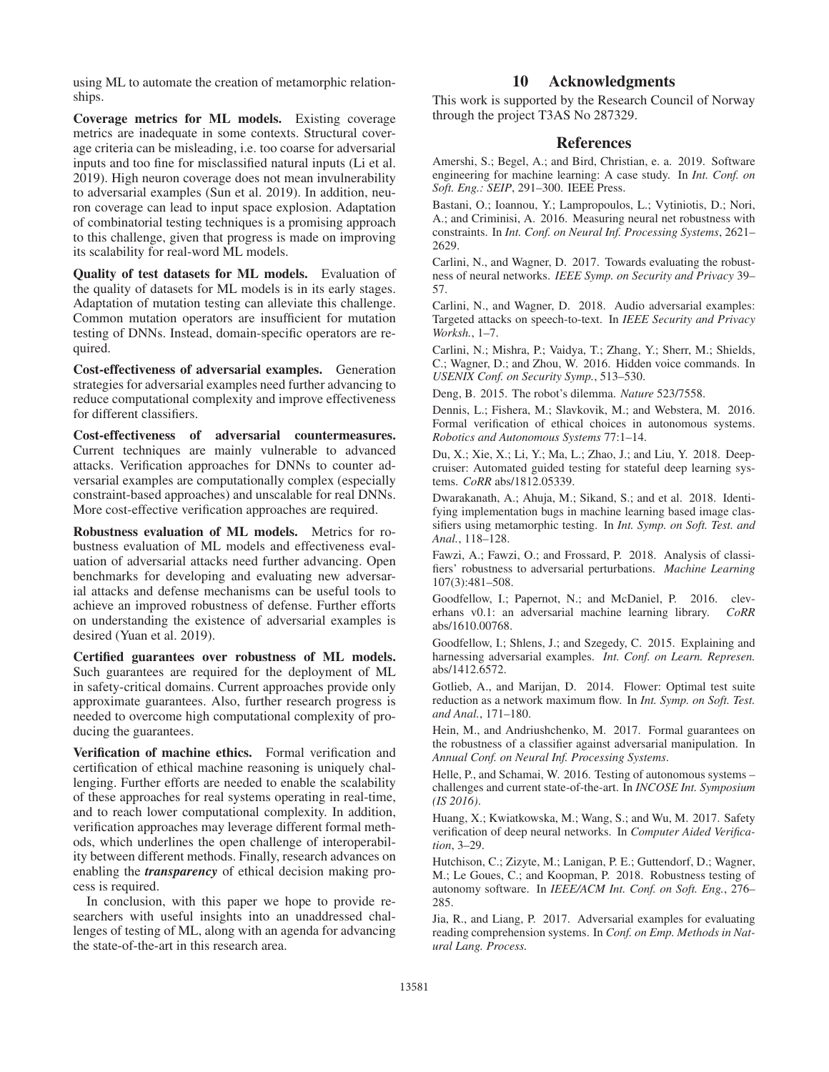using ML to automate the creation of metamorphic relationships.

Coverage metrics for ML models. Existing coverage metrics are inadequate in some contexts. Structural coverage criteria can be misleading, i.e. too coarse for adversarial inputs and too fine for misclassified natural inputs (Li et al. 2019). High neuron coverage does not mean invulnerability to adversarial examples (Sun et al. 2019). In addition, neuron coverage can lead to input space explosion. Adaptation of combinatorial testing techniques is a promising approach to this challenge, given that progress is made on improving its scalability for real-word ML models.

Quality of test datasets for ML models. Evaluation of the quality of datasets for ML models is in its early stages. Adaptation of mutation testing can alleviate this challenge. Common mutation operators are insufficient for mutation testing of DNNs. Instead, domain-specific operators are required.

Cost-effectiveness of adversarial examples. Generation strategies for adversarial examples need further advancing to reduce computational complexity and improve effectiveness for different classifiers.

Cost-effectiveness of adversarial countermeasures. Current techniques are mainly vulnerable to advanced attacks. Verification approaches for DNNs to counter adversarial examples are computationally complex (especially constraint-based approaches) and unscalable for real DNNs. More cost-effective verification approaches are required.

Robustness evaluation of ML models. Metrics for robustness evaluation of ML models and effectiveness evaluation of adversarial attacks need further advancing. Open benchmarks for developing and evaluating new adversarial attacks and defense mechanisms can be useful tools to achieve an improved robustness of defense. Further efforts on understanding the existence of adversarial examples is desired (Yuan et al. 2019).

Certified guarantees over robustness of ML models. Such guarantees are required for the deployment of ML in safety-critical domains. Current approaches provide only approximate guarantees. Also, further research progress is needed to overcome high computational complexity of producing the guarantees.

Verification of machine ethics. Formal verification and certification of ethical machine reasoning is uniquely challenging. Further efforts are needed to enable the scalability of these approaches for real systems operating in real-time, and to reach lower computational complexity. In addition, verification approaches may leverage different formal methods, which underlines the open challenge of interoperability between different methods. Finally, research advances on enabling the *transparency* of ethical decision making process is required.

In conclusion, with this paper we hope to provide researchers with useful insights into an unaddressed challenges of testing of ML, along with an agenda for advancing the state-of-the-art in this research area.

### 10 Acknowledgments

This work is supported by the Research Council of Norway through the project T3AS No 287329.

#### References

Amershi, S.; Begel, A.; and Bird, Christian, e. a. 2019. Software engineering for machine learning: A case study. In *Int. Conf. on Soft. Eng.: SEIP*, 291–300. IEEE Press.

Bastani, O.; Ioannou, Y.; Lampropoulos, L.; Vytiniotis, D.; Nori, A.; and Criminisi, A. 2016. Measuring neural net robustness with constraints. In *Int. Conf. on Neural Inf. Processing Systems*, 2621– 2629.

Carlini, N., and Wagner, D. 2017. Towards evaluating the robustness of neural networks. *IEEE Symp. on Security and Privacy* 39– 57.

Carlini, N., and Wagner, D. 2018. Audio adversarial examples: Targeted attacks on speech-to-text. In *IEEE Security and Privacy Worksh.*, 1–7.

Carlini, N.; Mishra, P.; Vaidya, T.; Zhang, Y.; Sherr, M.; Shields, C.; Wagner, D.; and Zhou, W. 2016. Hidden voice commands. In *USENIX Conf. on Security Symp.*, 513–530.

Deng, B. 2015. The robot's dilemma. *Nature* 523/7558.

Dennis, L.; Fishera, M.; Slavkovik, M.; and Webstera, M. 2016. Formal verification of ethical choices in autonomous systems. *Robotics and Autonomous Systems* 77:1–14.

Du, X.; Xie, X.; Li, Y.; Ma, L.; Zhao, J.; and Liu, Y. 2018. Deepcruiser: Automated guided testing for stateful deep learning systems. *CoRR* abs/1812.05339.

Dwarakanath, A.; Ahuja, M.; Sikand, S.; and et al. 2018. Identifying implementation bugs in machine learning based image classifiers using metamorphic testing. In *Int. Symp. on Soft. Test. and Anal.*, 118–128.

Fawzi, A.; Fawzi, O.; and Frossard, P. 2018. Analysis of classifiers' robustness to adversarial perturbations. *Machine Learning* 107(3):481–508.

Goodfellow, I.; Papernot, N.; and McDaniel, P. 2016. cleverhans v0.1: an adversarial machine learning library. *CoRR* abs/1610.00768.

Goodfellow, I.; Shlens, J.; and Szegedy, C. 2015. Explaining and harnessing adversarial examples. *Int. Conf. on Learn. Represen.* abs/1412.6572.

Gotlieb, A., and Marijan, D. 2014. Flower: Optimal test suite reduction as a network maximum flow. In *Int. Symp. on Soft. Test. and Anal.*, 171–180.

Hein, M., and Andriushchenko, M. 2017. Formal guarantees on the robustness of a classifier against adversarial manipulation. In *Annual Conf. on Neural Inf. Processing Systems*.

Helle, P., and Schamai, W. 2016. Testing of autonomous systems – challenges and current state-of-the-art. In *INCOSE Int. Symposium (IS 2016)*.

Huang, X.; Kwiatkowska, M.; Wang, S.; and Wu, M. 2017. Safety verification of deep neural networks. In *Computer Aided Verification*, 3–29.

Hutchison, C.; Zizyte, M.; Lanigan, P. E.; Guttendorf, D.; Wagner, M.; Le Goues, C.; and Koopman, P. 2018. Robustness testing of autonomy software. In *IEEE/ACM Int. Conf. on Soft. Eng.*, 276– 285.

Jia, R., and Liang, P. 2017. Adversarial examples for evaluating reading comprehension systems. In *Conf. on Emp. Methods in Natural Lang. Process.*